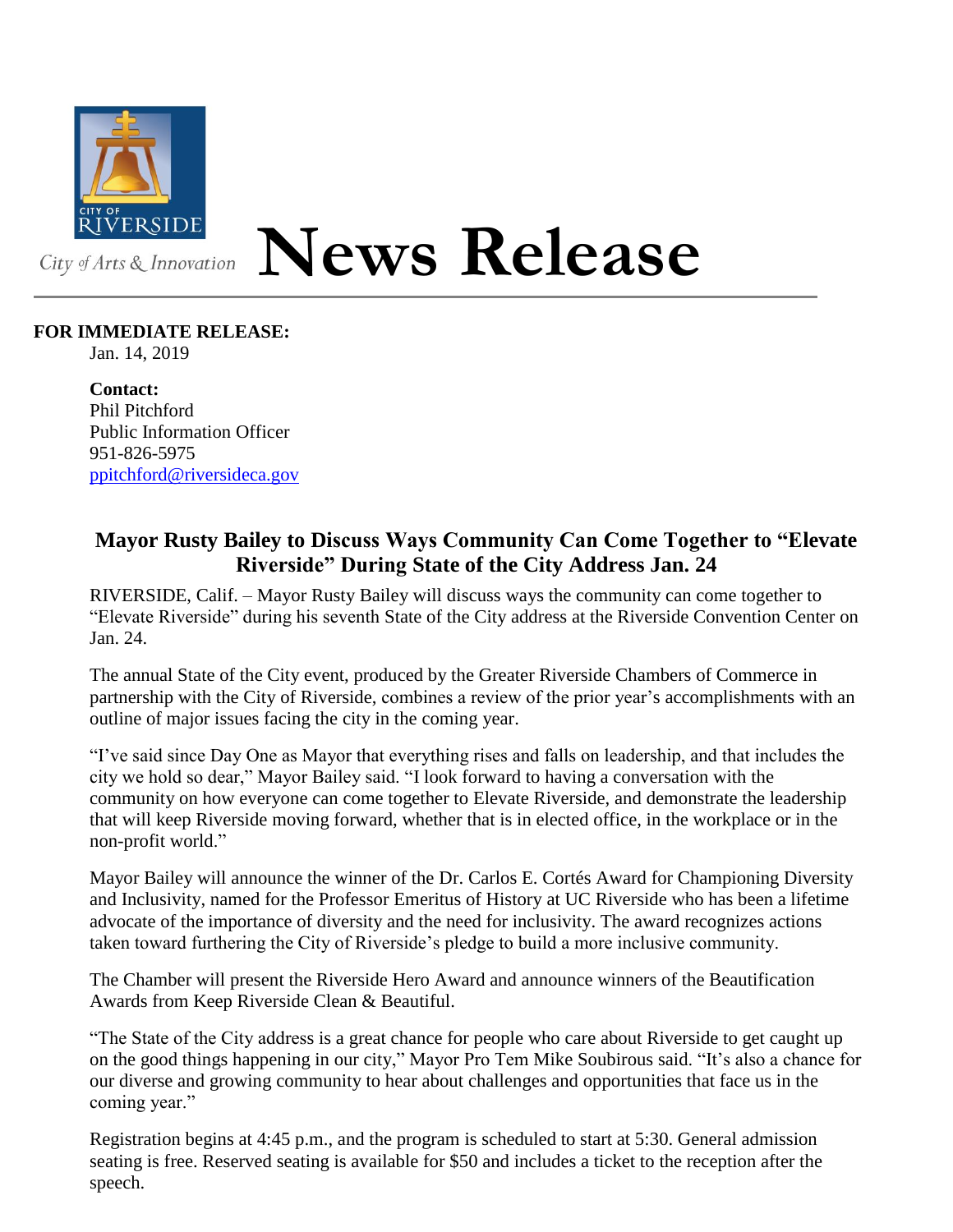

## **News Release**

## **FOR IMMEDIATE RELEASE:**

Jan. 14, 2019

**Contact:** Phil Pitchford Public Information Officer 951-826-5975 [ppitchford@riversideca.gov](mailto:ppitchford@riversideca.gov)

## **Mayor Rusty Bailey to Discuss Ways Community Can Come Together to "Elevate Riverside" During State of the City Address Jan. 24**

RIVERSIDE, Calif. – Mayor Rusty Bailey will discuss ways the community can come together to "Elevate Riverside" during his seventh State of the City address at the Riverside Convention Center on Jan. 24.

The annual State of the City event, produced by the Greater Riverside Chambers of Commerce in partnership with the City of Riverside, combines a review of the prior year's accomplishments with an outline of major issues facing the city in the coming year.

"I've said since Day One as Mayor that everything rises and falls on leadership, and that includes the city we hold so dear," Mayor Bailey said. "I look forward to having a conversation with the community on how everyone can come together to Elevate Riverside, and demonstrate the leadership that will keep Riverside moving forward, whether that is in elected office, in the workplace or in the non-profit world."

Mayor Bailey will announce the winner of the Dr. Carlos E. Cortés Award for Championing Diversity and Inclusivity, named for the Professor Emeritus of History at UC Riverside who has been a lifetime advocate of the importance of diversity and the need for inclusivity. The award recognizes actions taken toward furthering the City of Riverside's pledge to build a more inclusive community.

The Chamber will present the Riverside Hero Award and announce winners of the Beautification Awards from Keep Riverside Clean & Beautiful.

"The State of the City address is a great chance for people who care about Riverside to get caught up on the good things happening in our city," Mayor Pro Tem Mike Soubirous said. "It's also a chance for our diverse and growing community to hear about challenges and opportunities that face us in the coming year."

Registration begins at 4:45 p.m., and the program is scheduled to start at 5:30. General admission seating is free. Reserved seating is available for \$50 and includes a ticket to the reception after the speech.